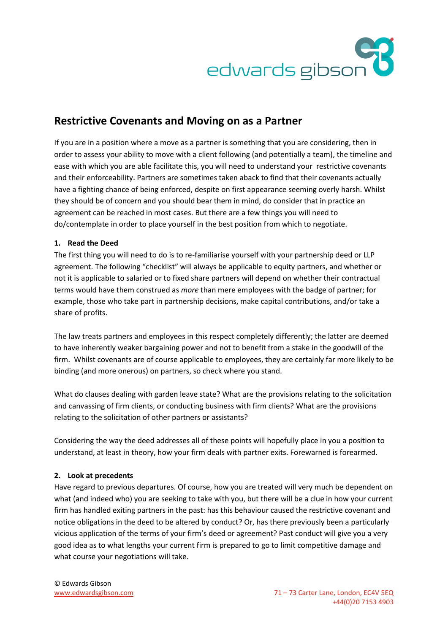

# **Restrictive Covenants and Moving on as a Partner**

If you are in a position where a move as a partner is something that you are considering, then in order to assess your ability to move with a client following (and potentially a team), the timeline and ease with which you are able facilitate this, you will need to understand your restrictive covenants and their enforceability. Partners are sometimes taken aback to find that their covenants actually have a fighting chance of being enforced, despite on first appearance seeming overly harsh. Whilst they should be of concern and you should bear them in mind, do consider that in practice an agreement can be reached in most cases. But there are a few things you will need to do/contemplate in order to place yourself in the best position from which to negotiate.

## **1. Read the Deed**

The first thing you will need to do is to re-familiarise yourself with your partnership deed or LLP agreement. The following "checklist" will always be applicable to equity partners, and whether or not it is applicable to salaried or to fixed share partners will depend on whether their contractual terms would have them construed as *more* than mere employees with the badge of partner; for example, those who take part in partnership decisions, make capital contributions, and/or take a share of profits.

The law treats partners and employees in this respect completely differently; the latter are deemed to have inherently weaker bargaining power and not to benefit from a stake in the goodwill of the firm. Whilst covenants are of course applicable to employees, they are certainly far more likely to be binding (and more onerous) on partners, so check where you stand.

What do clauses dealing with garden leave state? What are the provisions relating to the solicitation and canvassing of firm clients, or conducting business with firm clients? What are the provisions relating to the solicitation of other partners or assistants?

Considering the way the deed addresses all of these points will hopefully place in you a position to understand, at least in theory, how your firm deals with partner exits. Forewarned is forearmed.

### **2. Look at precedents**

Have regard to previous departures. Of course, how you are treated will very much be dependent on what (and indeed who) you are seeking to take with you, but there will be a clue in how your current firm has handled exiting partners in the past: has this behaviour caused the restrictive covenant and notice obligations in the deed to be altered by conduct? Or, has there previously been a particularly vicious application of the terms of your firm's deed or agreement? Past conduct will give you a very good idea as to what lengths your current firm is prepared to go to limit competitive damage and what course your negotiations will take.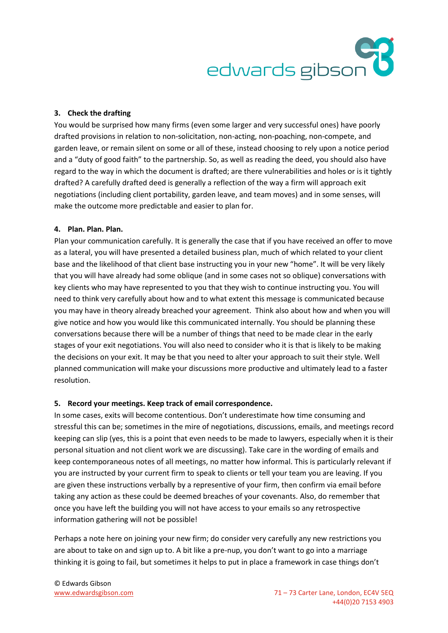

#### **3. Check the drafting**

You would be surprised how many firms (even some larger and very successful ones) have poorly drafted provisions in relation to non-solicitation, non-acting, non-poaching, non-compete, and garden leave, or remain silent on some or all of these, instead choosing to rely upon a notice period and a "duty of good faith" to the partnership. So, as well as reading the deed, you should also have regard to the way in which the document is drafted; are there vulnerabilities and holes or is it tightly drafted? A carefully drafted deed is generally a reflection of the way a firm will approach exit negotiations (including client portability, garden leave, and team moves) and in some senses, will make the outcome more predictable and easier to plan for.

#### **4. Plan. Plan. Plan.**

Plan your communication carefully. It is generally the case that if you have received an offer to move as a lateral, you will have presented a detailed business plan, much of which related to your client base and the likelihood of that client base instructing you in your new "home". It will be very likely that you will have already had some oblique (and in some cases not so oblique) conversations with key clients who may have represented to you that they wish to continue instructing you. You will need to think very carefully about how and to what extent this message is communicated because you may have in theory already breached your agreement. Think also about how and when you will give notice and how you would like this communicated internally. You should be planning these conversations because there will be a number of things that need to be made clear in the early stages of your exit negotiations. You will also need to consider who it is that is likely to be making the decisions on your exit. It may be that you need to alter your approach to suit their style. Well planned communication will make your discussions more productive and ultimately lead to a faster resolution.

#### **5. Record your meetings. Keep track of email correspondence.**

In some cases, exits will become contentious. Don't underestimate how time consuming and stressful this can be; sometimes in the mire of negotiations, discussions, emails, and meetings record keeping can slip (yes, this is a point that even needs to be made to lawyers, especially when it is their personal situation and not client work we are discussing). Take care in the wording of emails and keep contemporaneous notes of all meetings, no matter how informal. This is particularly relevant if you are instructed by your current firm to speak to clients or tell your team you are leaving. If you are given these instructions verbally by a representive of your firm, then confirm via email before taking any action as these could be deemed breaches of your covenants. Also, do remember that once you have left the building you will not have access to your emails so any retrospective information gathering will not be possible!

Perhaps a note here on joining your new firm; do consider very carefully any new restrictions you are about to take on and sign up to. A bit like a pre-nup, you don't want to go into a marriage thinking it is going to fail, but sometimes it helps to put in place a framework in case things don't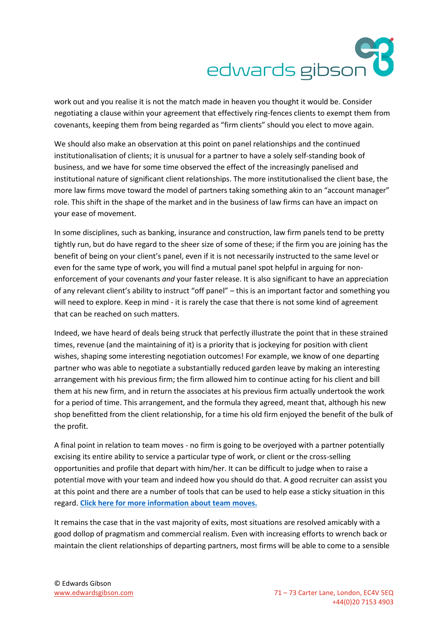# edwards gibson

work out and you realise it is not the match made in heaven you thought it would be. Consider negotiating a clause within your agreement that effectively ring-fences clients to exempt them from covenants, keeping them from being regarded as "firm clients" should you elect to move again.

We should also make an observation at this point on panel relationships and the continued institutionalisation of clients; it is unusual for a partner to have a solely self-standing book of business, and we have for some time observed the effect of the increasingly panelised and institutional nature of significant client relationships. The more institutionalised the client base, the more law firms move toward the model of partners taking something akin to an "account manager" role. This shift in the shape of the market and in the business of law firms can have an impact on your ease of movement.

In some disciplines, such as banking, insurance and construction, law firm panels tend to be pretty tightly run, but do have regard to the sheer size of some of these; if the firm you are joining has the benefit of being on your client's panel, even if it is not necessarily instructed to the same level or even for the same type of work, you will find a mutual panel spot helpful in arguing for nonenforcement of your covenants *and* your faster release. It is also significant to have an appreciation of any relevant client's ability to instruct "off panel" – this is an important factor and something you will need to explore. Keep in mind - it is rarely the case that there is not some kind of agreement that can be reached on such matters.

Indeed, we have heard of deals being struck that perfectly illustrate the point that in these strained times, revenue (and the maintaining of it) is a priority that is jockeying for position with client wishes, shaping some interesting negotiation outcomes! For example, we know of one departing partner who was able to negotiate a substantially reduced garden leave by making an interesting arrangement with his previous firm; the firm allowed him to continue acting for his client and bill them at his new firm, and in return the associates at his previous firm actually undertook the work for a period of time. This arrangement, and the formula they agreed, meant that, although his new shop benefitted from the client relationship, for a time his old firm enjoyed the benefit of the bulk of the profit.

A final point in relation to team moves - no firm is going to be overjoyed with a partner potentially excising its entire ability to service a particular type of work, or client or the cross-selling opportunities and profile that depart with him/her. It can be difficult to judge when to raise a potential move with your team and indeed how you should do that. A good recruiter can assist you at this point and there are a number of tools that can be used to help ease a sticky situation in this regard. **[Click here for more information about team moves.](http://www.edwardsgibson.com/team-moves.html)**

It remains the case that in the vast majority of exits, most situations are resolved amicably with a good dollop of pragmatism and commercial realism. Even with increasing efforts to wrench back or maintain the client relationships of departing partners, most firms will be able to come to a sensible